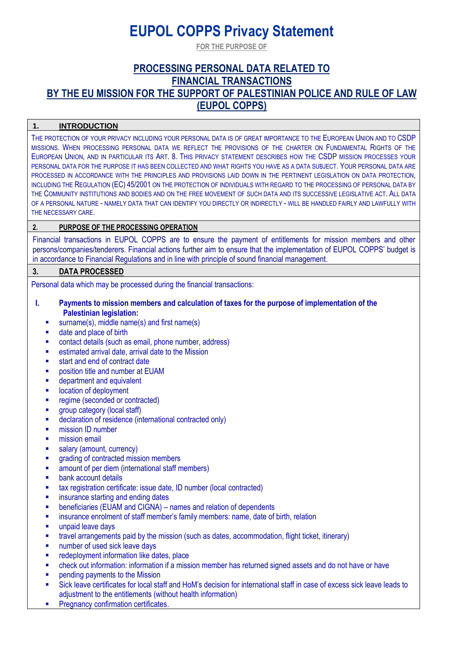# **EUPOL COPPS Privacy Statement**

**FOR THE PURPOSE OF**

# **PROCESSING PERSONAL DATA RELATED TO FINANCIAL TRANSACTIONS BY THE EU MISSION FOR THE SUPPORT OF PALESTINIAN POLICE AND RULE OF LAW (EUPOL COPPS)**

# **1. INTRODUCTION**

THE PROTECTION OF YOUR PRIVACY INCLUDING YOUR PERSONAL DATA IS OF GREAT IMPORTANCE TO THE EUROPEAN UNION AND TO CSDP MISSIONS. WHEN PROCESSING PERSONAL DATA WE REFLECT THE PROVISIONS OF THE CHARTER ON FUNDAMENTAL RIGHTS OF THE EUROPEAN UNION, AND IN PARTICULAR ITS ART. 8. THIS PRIVACY STATEMENT DESCRIBES HOW THE CSDP MISSION PROCESSES YOUR PERSONAL DATA FOR THE PURPOSE IT HAS BEEN COLLECTED AND WHAT RIGHTS YOU HAVE AS A DATA SUBJECT. YOUR PERSONAL DATA ARE PROCESSED IN ACCORDANCE WITH THE PRINCIPLES AND PROVISIONS LAID DOWN IN THE PERTINENT LEGISLATION ON DATA PROTECTION, INCLUDING THE REGULATION (EC) 45/2001 ON THE PROTECTION OF INDIVIDUALS WITH REGARD TO THE PROCESSING OF PERSONAL DATA BY THE COMMUNITY INSTITUTIONS AND BODIES AND ON THE FREE MOVEMENT OF SUCH DATA AND ITS SUCCESSIVE LEGISLATIVE ACT. ALL DATA OF A PERSONAL NATURE - NAMELY DATA THAT CAN IDENTIFY YOU DIRECTLY OR INDIRECTLY - WILL BE HANDLED FAIRLY AND LAWFULLY WITH THE NECESSARY CARE.

# **2. PURPOSE OF THE PROCESSING OPERATION**

Financial transactions in EUPOL COPPS are to ensure the payment of entitlements for mission members and other persons/companies/tenderers. Financial actions further aim to ensure that the implementation of EUPOL COPPS' budget is in accordance to Financial Regulations and in line with principle of sound financial management.

#### **3. DATA PROCESSED**

Personal data which may be processed during the financial transactions:

#### **I. Payments to mission members and calculation of taxes for the purpose of implementation of the Palestinian legislation:**

- surname(s), middle name(s) and first name(s)
- date and place of birth
- contact details (such as email, phone number, address)
- estimated arrival date, arrival date to the Mission
- start and end of contract date
- position title and number at EUAM
- **■** department and equivalent
- location of deployment
- regime (seconded or contracted)
- **•** group category (local staff)
- declaration of residence (international contracted only)
- **■** mission ID number
- **■** mission email
- salary (amount, currency)
- **•** grading of contracted mission members
- **•** amount of per diem (international staff members)
- bank account details
- tax registration certificate: issue date, ID number (local contracted)
- **■** insurance starting and ending dates
- beneficiaries (EUAM and CIGNA) names and relation of dependents
- **■** insurance enrolment of staff member's family members: name, date of birth, relation
- unpaid leave days
- travel arrangements paid by the mission (such as dates, accommodation, flight ticket, itinerary)
- number of used sick leave days
- redeployment information like dates, place
- check out information: information if a mission member has returned signed assets and do not have or have
- **•** pending payments to the Mission
- Sick leave certificates for local staff and HoM's decision for international staff in case of excess sick leave leads to adjustment to the entitlements (without health information)
- **Pregnancy confirmation certificates.**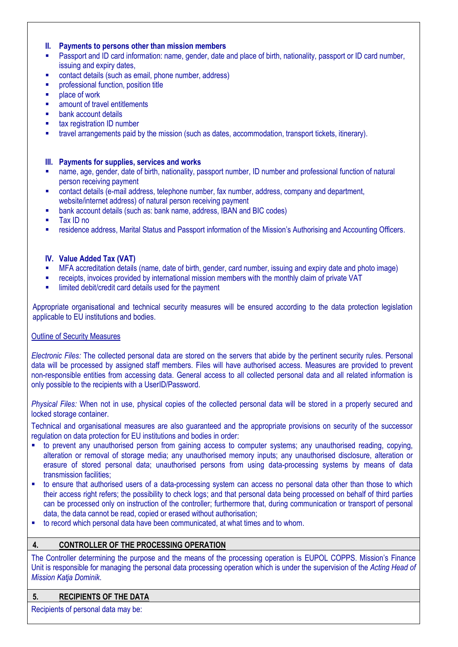#### **II. Payments to persons other than mission members**

- Passport and ID card information: name, gender, date and place of birth, nationality, passport or ID card number, issuing and expiry dates,
- contact details (such as email, phone number, address)
- professional function, position title
- place of work
- amount of travel entitlements
- bank account details
- tax registration ID number
- travel arrangements paid by the mission (such as dates, accommodation, transport tickets, itinerary).

#### **III. Payments for supplies, services and works**

- name, age, gender, date of birth, nationality, passport number, ID number and professional function of natural person receiving payment
- **•** contact details (e-mail address, telephone number, fax number, address, company and department, website/internet address) of natural person receiving payment
- **■** bank account details (such as: bank name, address, IBAN and BIC codes)
- Tax ID no
- **■** residence address, Marital Status and Passport information of the Mission's Authorising and Accounting Officers.

#### **IV. Value Added Tax (VAT)**

- MFA accreditation details (name, date of birth, gender, card number, issuing and expiry date and photo image)
- receipts, invoices provided by international mission members with the monthly claim of private VAT
- **.** limited debit/credit card details used for the payment

Appropriate organisational and technical security measures will be ensured according to the data protection legislation applicable to EU institutions and bodies.

#### Outline of Security Measures

*Electronic Files:* The collected personal data are stored on the servers that abide by the pertinent security rules. Personal data will be processed by assigned staff members. Files will have authorised access. Measures are provided to prevent non-responsible entities from accessing data. General access to all collected personal data and all related information is only possible to the recipients with a UserID/Password.

*Physical Files:* When not in use, physical copies of the collected personal data will be stored in a properly secured and locked storage container.

Technical and organisational measures are also guaranteed and the appropriate provisions on security of the successor regulation on data protection for EU institutions and bodies in order:

- to prevent any unauthorised person from gaining access to computer systems; any unauthorised reading, copying, alteration or removal of storage media; any unauthorised memory inputs; any unauthorised disclosure, alteration or erasure of stored personal data; unauthorised persons from using data-processing systems by means of data transmission facilities;
- to ensure that authorised users of a data-processing system can access no personal data other than those to which their access right refers; the possibility to check logs; and that personal data being processed on behalf of third parties can be processed only on instruction of the controller; furthermore that, during communication or transport of personal data, the data cannot be read, copied or erased without authorisation;
- to record which personal data have been communicated, at what times and to whom.

# **4. CONTROLLER OF THE PROCESSING OPERATION**

The Controller determining the purpose and the means of the processing operation is EUPOL COPPS. Mission's Finance Unit is responsible for managing the personal data processing operation which is under the supervision of the *Acting Head of Mission Katja Dominik*.

#### **5. RECIPIENTS OF THE DATA**

Recipients of personal data may be: